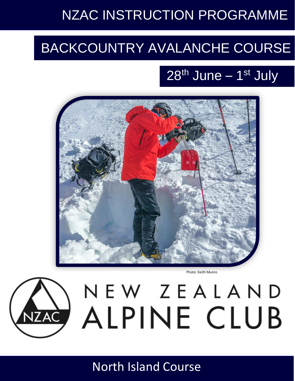# NZAC INSTRUCTION PROGRAMME

# BACKCOUNTRY AVALANCHE COURSE

# 28<sup>th</sup> June – 1<sup>st</sup> July



Photo: Keith Munro



NEW ZEALAND

North Island Course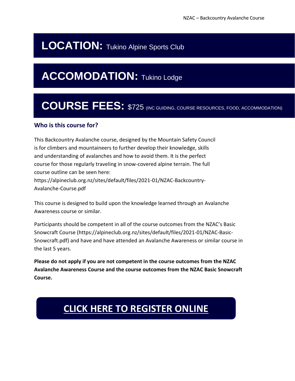## **LOCATION: Tukino Alpine Sports Club**

## **ACCOMODATION: Tukino Lodge**

## **COURSE FEES:** \$725 (INC GUIDING, COURSE RESOURCES, FOOD, ACCOMMODATION)

## **Who is this course for?**

This Backcountry Avalanche course, designed by the Mountain Safety Council is for climbers and mountaineers to further develop their knowledge, skills and understanding of avalanches and how to avoid them. It is the perfect course for those regularly traveling in snow-covered alpine terrain. The full course outline can be seen here: https://alpineclub.org.nz/sites/default/files/2021-01/NZAC-Backcountry-Avalanche-Course.pdf

This course is designed to build upon the knowledge learned through an Avalanche Awareness course or similar.

Participants should be competent in all of the course outcomes from the NZAC's Basic Snowcraft Course (https://alpineclub.org.nz/sites/default/files/2021-01/NZAC-Basic-Snowcraft.pdf) and have and have attended an Avalanche Awareness or similar course in the last 5 years.

**Please do not apply if you are not competent in the course outcomes from the NZAC Avalanche Awareness Course and the course outcomes from the NZAC Basic Snowcraft Course.**

## **[CLICK HERE TO REGISTER ONLINE](https://forms.gle/JhacrDDemcZ9vUNC8)**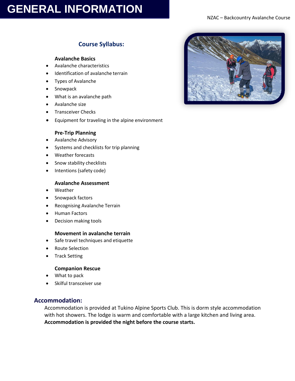## **GENERAL INFORMATION**

## **Course Syllabus:**

#### **Avalanche Basics**

- Avalanche characteristics
- Identification of avalanche terrain
- Types of Avalanche
- **Snowpack**
- What is an avalanche path
- Avalanche size
- Transceiver Checks
- Equipment for traveling in the alpine environment

#### **Pre-Trip Planning**

- Avalanche Advisory
- Systems and checklists for trip planning
- Weather forecasts
- Snow stability checklists
- Intentions (safety code)

#### **Avalanche Assessment**

- Weather
- Snowpack factors
- Recognising Avalanche Terrain
- Human Factors
- Decision making tools

#### **Movement in avalanche terrain**

- Safe travel techniques and etiquette
- Route Selection
- Track Setting

#### **Companion Rescue**

- What to pack
- Skilful transceiver use

#### **Accommodation:**

Accommodation is provided at Tukino Alpine Sports Club. This is dorm style accommodation with hot showers. The lodge is warm and comfortable with a large kitchen and living area. **Accommodation is provided the night before the course starts.**

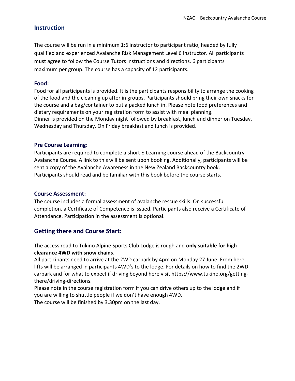### **Instruction**

The course will be run in a minimum 1:6 instructor to participant ratio, headed by fully qualified and experienced Avalanche Risk Management Level 6 instructor. All participants must agree to follow the Course Tutors instructions and directions. 6 participants maximum per group. The course has a capacity of 12 participants.

#### **Food:**

Food for all participants is provided. It is the participants responsibility to arrange the cooking of the food and the cleaning up after in groups. Participants should bring their own snacks for the course and a bag/container to put a packed lunch in. Please note food preferences and dietary requirements on your registration form to assist with meal planning. Dinner is provided on the Monday night followed by breakfast, lunch and dinner on Tuesday, Wednesday and Thursday. On Friday breakfast and lunch is provided.

#### **Pre Course Learning:**

Participants are required to complete a short E-Learning course ahead of the Backcountry Avalanche Course. A link to this will be sent upon booking. Additionally, participants will be sent a copy of the Avalanche Awareness in the New Zealand Backcountry book. Participants should read and be familiar with this book before the course starts.

#### **Course Assessment:**

The course includes a formal assessment of avalanche rescue skills. On successful completion, a Certificate of Competence is issued. Participants also receive a Certificate of Attendance. Participation in the assessment is optional.

### **Getting there and Course Start:**

The access road to Tukino Alpine Sports Club Lodge is rough and **only suitable for high clearance 4WD with snow chains**.

All participants need to arrive at the 2WD carpark by 4pm on Monday 27 June. From here lifts will be arranged in participants 4WD's to the lodge. For details on how to find the 2WD carpark and for what to expect if driving beyond here visit https://www.tukino.org/gettingthere/driving-directions.

Please note in the course registration form if you can drive others up to the lodge and if you are willing to shuttle people if we don't have enough 4WD.

The course will be finished by 3.30pm on the last day.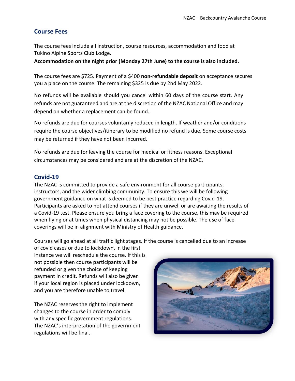### **Course Fees**

The course fees include all instruction, course resources, accommodation and food at Tukino Alpine Sports Club Lodge.

**Accommodation on the night prior (Monday 27th June) to the course is also included.** 

The course fees are \$725. Payment of a \$400 **non-refundable deposit** on acceptance secures you a place on the course. The remaining \$325 is due by 2nd May 2022.

No refunds will be available should you cancel within 60 days of the course start. Any refunds are not guaranteed and are at the discretion of the NZAC National Office and may depend on whether a replacement can be found.

No refunds are due for courses voluntarily reduced in length. If weather and/or conditions require the course objectives/itinerary to be modified no refund is due. Some course costs may be returned if they have not been incurred.

No refunds are due for leaving the course for medical or fitness reasons. Exceptional circumstances may be considered and are at the discretion of the NZAC.

### **Covid-19**

The NZAC is committed to provide a safe environment for all course participants, instructors, and the wider climbing community. To ensure this we will be following government guidance on what is deemed to be best practice regarding Covid-19. Participants are asked to not attend courses if they are unwell or are awaiting the results of a Covid-19 test. Please ensure you bring a face covering to the course, this may be required when flying or at times when physical distancing may not be possible. The use of face coverings will be in alignment with Ministry of Health guidance.

Courses will go ahead at all traffic light stages. If the course is cancelled due to an increase

of covid cases or due to lockdown, in the first instance we will reschedule the course. If this is not possible then course participants will be refunded or given the choice of keeping payment in credit. Refunds will also be given if your local region is placed under lockdown, and you are therefore unable to travel.

The NZAC reserves the right to implement changes to the course in order to comply with any specific government regulations. The NZAC's interpretation of the government regulations will be final.

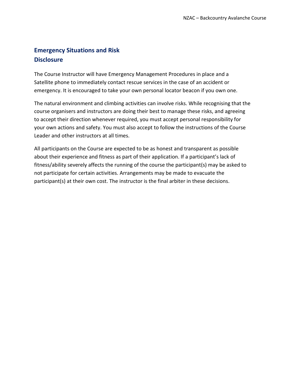## **Emergency Situations and Risk Disclosure**

The Course Instructor will have Emergency Management Procedures in place and a Satellite phone to immediately contact rescue services in the case of an accident or emergency. It is encouraged to take your own personal locator beacon if you own one.

The natural environment and climbing activities can involve risks. While recognising that the course organisers and instructors are doing their best to manage these risks, and agreeing to accept their direction whenever required, you must accept personal responsibility for your own actions and safety. You must also accept to follow the instructions of the Course Leader and other instructors at all times.

All participants on the Course are expected to be as honest and transparent as possible about their experience and fitness as part of their application. If a participant's lack of fitness/ability severely affects the running of the course the participant(s) may be asked to not participate for certain activities. Arrangements may be made to evacuate the participant(s) at their own cost. The instructor is the final arbiter in these decisions.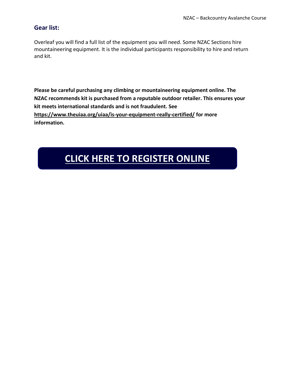### **Gear list:**

Overleaf you will find a full list of the equipment you will need. Some NZAC Sections hire mountaineering equipment. It is the individual participants responsibility to hire and return and kit.

**Please be careful purchasing any climbing or mountaineering equipment online. The NZAC recommends kit is purchased from a reputable outdoor retailer. This ensures your kit meets international standards and is not fraudulent. See <https://www.theuiaa.org/uiaa/is-your-equipment-really-certified/> for more information.**

## **[CLICK HERE TO REGISTER ONLINE](https://docs.google.com/forms/d/1swX86YqmRKkpM_7nnZbQwkqQwYLhIrd4sy1UJDV2GPw/edit)**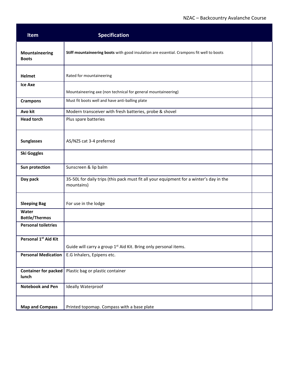| Item                                 | <b>Specification</b>                                                                                  |  |  |  |
|--------------------------------------|-------------------------------------------------------------------------------------------------------|--|--|--|
| Mountaineering<br><b>Boots</b>       | Stiff mountaineering boots with good insulation are essential. Crampons fit well to boots             |  |  |  |
| <b>Helmet</b>                        | Rated for mountaineering                                                                              |  |  |  |
| <b>Ice Axe</b>                       | Mountaineering axe (non technical for general mountaineering)                                         |  |  |  |
| <b>Crampons</b>                      | Must fit boots well and have anti-balling plate                                                       |  |  |  |
| Avo kit                              | Modern transceiver with fresh batteries, probe & shovel                                               |  |  |  |
| <b>Head torch</b>                    | Plus spare batteries                                                                                  |  |  |  |
| <b>Sunglasses</b>                    | AS/NZS cat 3-4 preferred                                                                              |  |  |  |
| <b>Ski Goggles</b>                   |                                                                                                       |  |  |  |
| Sun protection                       | Sunscreen & lip balm                                                                                  |  |  |  |
| Day pack                             | 35-50L for daily trips (this pack must fit all your equipment for a winter's day in the<br>mountains) |  |  |  |
| <b>Sleeping Bag</b>                  | For use in the lodge                                                                                  |  |  |  |
| Water<br><b>Bottle/Thermos</b>       |                                                                                                       |  |  |  |
| <b>Personal toiletries</b>           |                                                                                                       |  |  |  |
| Personal 1 <sup>st</sup> Aid Kit     | Guide will carry a group 1 <sup>st</sup> Aid Kit. Bring only personal items.                          |  |  |  |
| <b>Personal Medication</b>           | E.G Inhalers, Epipens etc.                                                                            |  |  |  |
| <b>Container for packed</b><br>lunch | Plastic bag or plastic container                                                                      |  |  |  |
| <b>Notebook and Pen</b>              | <b>Ideally Waterproof</b>                                                                             |  |  |  |
| <b>Map and Compass</b>               | Printed topomap. Compass with a base plate                                                            |  |  |  |